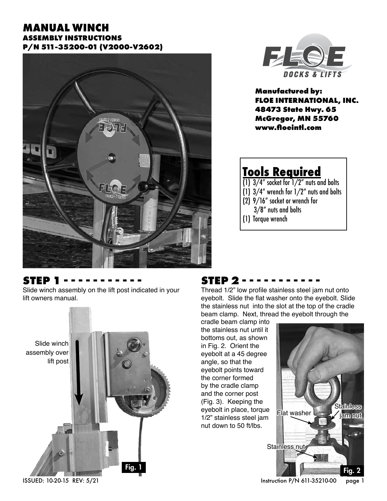#### **MANUAL WINCH ASSEMBLY INSTRUCTIONS P/N 511-35200-01 (V2000-V2602)**





**Manufactured by: FLOE INTERNATIONAL, INC. 48473 State Hwy. 65 McGregor, MN 55760 www.floeintl.com**

# **Tools Required**

- $(1)$  3/4" socket for  $1/2$ " nuts and bolts
- $(1)$   $3/4$ " wrench for  $1/2$ " nuts and bolts
- (2) 9/16" socket or wrench for
	- 3/8" nuts and bolts
- (1) Torque wrench

#### **STEP 1 - - - - - - - - - - -**

Slide winch assembly on the lift post indicated in your lift owners manual.



## **STEP 2 - - - - - - - - - - -**

Thread 1/2" low profile stainless steel jam nut onto eyebolt. Slide the flat washer onto the eyebolt. Slide the stainless nut into the slot at the top of the cradle beam clamp. Next, thread the eyebolt through the

cradle beam clamp into the stainless nut until it bottoms out, as shown in Fig. 2. Orient the eyebolt at a 45 degree angle, so that the eyebolt points toward the corner formed by the cradle clamp and the corner post (Fig. 3). Keeping the eyebolt in place, torque 1/2" stainless steel jam nut down to 50 ft/lbs.



ISSUED: 10-20-15 REV: 5/21 Instruction P/N 611-35210-00 page 1